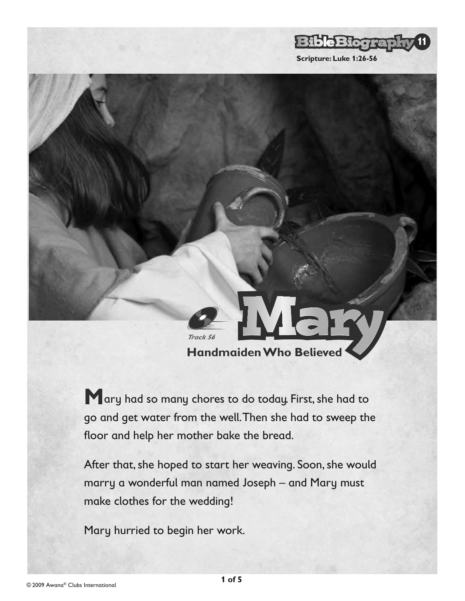

**Handmaiden Who Believed**

**M**ary had so many chores to do today. First, she had to go and get water from the well. Then she had to sweep the floor and help her mother bake the bread.

After that, she hoped to start her weaving. Soon, she would marry a wonderful man named Joseph – and Mary must make clothes for the wedding!

Mary hurried to begin her work.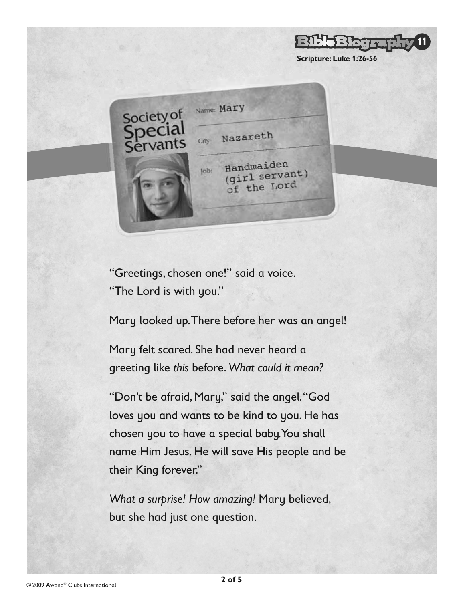Name: Mary Society of Nazareth City Handmaiden  $\vert$ ob: (girl servant) of the Lord

**Scripture: Luke 1:26-56**

e Bloor

**11**

"Greetings, chosen one!" said a voice. "The Lord is with you."

Mary looked up. There before her was an angel!

Mary felt scared. She had never heard a greeting like *this* before. *What could it mean?* 

"Don't be afraid, Mary," said the angel. "God loves you and wants to be kind to you. He has chosen you to have a special baby. You shall name Him Jesus. He will save His people and be their King forever."

*What a surprise! How amazing!* Mary believed, but she had just one question.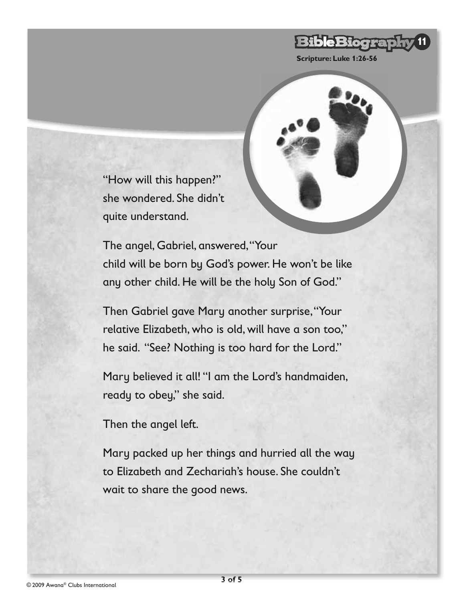## **BibleBiogra 11**

**Scripture: Luke 1:26-56**

"How will this happen?" she wondered. She didn't quite understand.

The angel, Gabriel, answered, "Your child will be born by God's power. He won't be like any other child. He will be the holy Son of God."

Then Gabriel gave Mary another surprise, "Your relative Elizabeth, who is old, will have a son too," he said. "See? Nothing is too hard for the Lord."

Mary believed it all! "I am the Lord's handmaiden, ready to obey," she said.

Then the angel left.

Mary packed up her things and hurried all the way to Elizabeth and Zechariah's house. She couldn't wait to share the good news.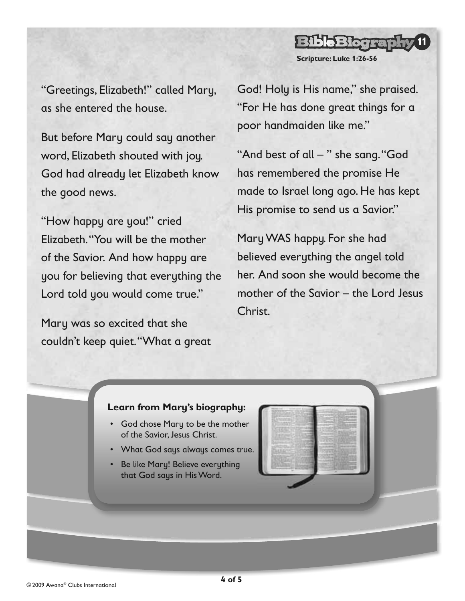"Greetings, Elizabeth!" called Mary, as she entered the house.

But before Mary could say another word, Elizabeth shouted with joy. God had already let Elizabeth know the good news.

"How happy are you!" cried Elizabeth. "You will be the mother of the Savior. And how happy are you for believing that everything the Lord told you would come true."

Mary was so excited that she couldn't keep quiet. "What a great God! Holy is His name," she praised. "For He has done great things for a poor handmaiden like me."

**Scripture: Luke 1:26-56**

e Biogra

**11**

"And best of all – " she sang. "God has remembered the promise He made to Israel long ago. He has kept His promise to send us a Savior."

Mary WAS happy. For she had believed everything the angel told her. And soon she would become the mother of the Savior – the Lord Jesus Christ.

## **Learn from Mary's biography:**

- God chose Mary to be the mother of the Savior, Jesus Christ.
- What God says always comes true.
- Be like Mary! Believe everything that God says in His Word.